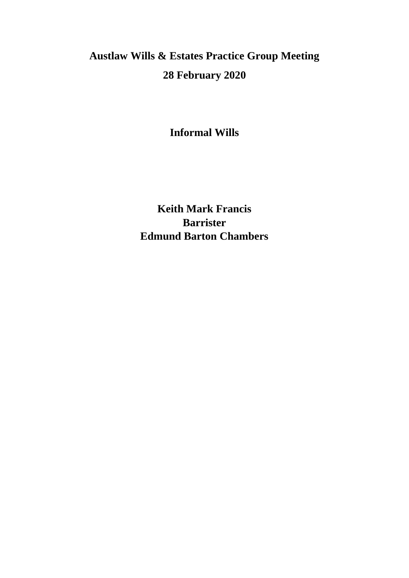# **Austlaw Wills & Estates Practice Group Meeting 28 February 2020**

**Informal Wills** 

**Keith Mark Francis Barrister Edmund Barton Chambers**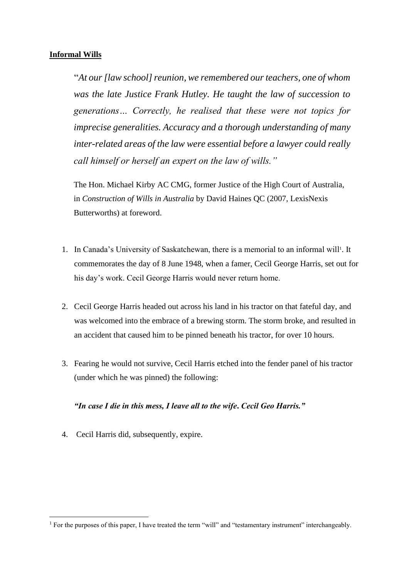# **Informal Wills**

"*At our [law school] reunion, we remembered our teachers, one of whom was the late Justice Frank Hutley. He taught the law of succession to generations… Correctly, he realised that these were not topics for imprecise generalities. Accuracy and a thorough understanding of many inter-related areas of the law were essential before a lawyer could really call himself or herself an expert on the law of wills."* 

The Hon. Michael Kirby AC CMG, former Justice of the High Court of Australia, in *Construction of Wills in Australia* by David Haines QC (2007, LexisNexis Butterworths) at foreword.

- 1. In Canada's University of Saskatchewan, there is a memorial to an informal will<sup>1</sup>. It commemorates the day of 8 June 1948, when a famer, Cecil George Harris, set out for his day's work. Cecil George Harris would never return home.
- 2. Cecil George Harris headed out across his land in his tractor on that fateful day, and was welcomed into the embrace of a brewing storm. The storm broke, and resulted in an accident that caused him to be pinned beneath his tractor, for over 10 hours.
- 3. Fearing he would not survive, Cecil Harris etched into the fender panel of his tractor (under which he was pinned) the following:

# *"In case I die in this mess, I leave all to the wife***.** *Cecil Geo Harris."*

4. Cecil Harris did, subsequently, expire.

<sup>&</sup>lt;sup>1</sup> For the purposes of this paper, I have treated the term "will" and "testamentary instrument" interchangeably.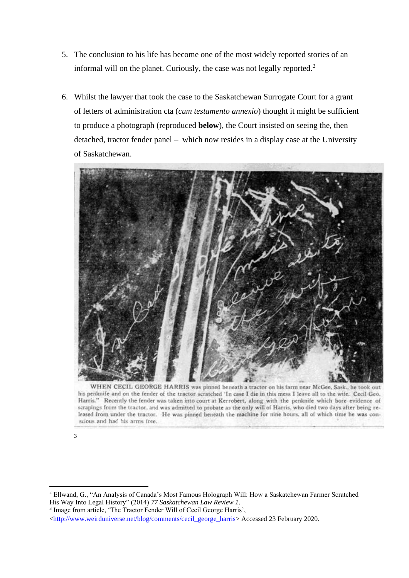- 5. The conclusion to his life has become one of the most widely reported stories of an informal will on the planet. Curiously, the case was not legally reported.<sup>2</sup>
- 6. Whilst the lawyer that took the case to the Saskatchewan Surrogate Court for a grant of letters of administration cta (*cum testamento annexio*) thought it might be sufficient to produce a photograph (reproduced **below**), the Court insisted on seeing the, then detached, tractor fender panel – which now resides in a display case at the University of Saskatchewan.



WHEN CECIL GEORGE HARRIS was pinned beneath a tractor on his farm near McGee, Sask., he took out his penknife and on the fender of the tractor scratched 'In case I die in this mess I leave all to the wife. Cecil Geo. Harris." Recently the fender was taken into court at Kerrobert, along with the penknife which bore evidence of scrapings from the tractor, and was admitted to probate as the only will of Harris, who died two days after being released from under the tractor. He was pinned beneath the machine for nine hours, all of which time he was conscious and had his arms free.

<sup>3</sup>

<sup>2</sup> Ellwand, G., "An Analysis of Canada's Most Famous Holograph Will: How a Saskatchewan Farmer Scratched His Way Into Legal History" (2014) *77 Saskatchewan Law Review 1*.

<sup>&</sup>lt;sup>3</sup> Image from article, 'The Tractor Fender Will of Cecil George Harris',

[<sup>&</sup>lt;http://www.weirduniverse.net/blog/comments/cecil\\_george\\_harris>](http://www.weirduniverse.net/blog/comments/cecil_george_harris) Accessed 23 February 2020.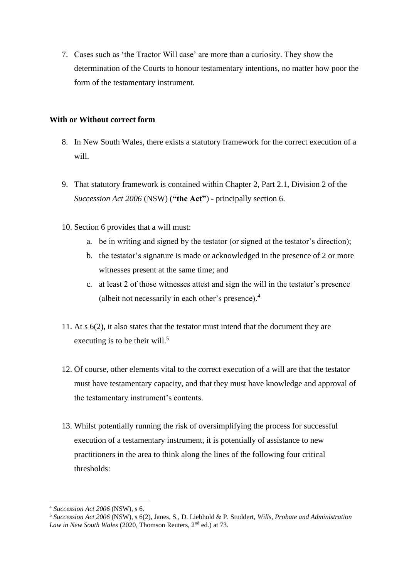7. Cases such as 'the Tractor Will case' are more than a curiosity. They show the determination of the Courts to honour testamentary intentions, no matter how poor the form of the testamentary instrument.

#### **With or Without correct form**

- 8. In New South Wales, there exists a statutory framework for the correct execution of a will.
- 9. That statutory framework is contained within Chapter 2, Part 2.1, Division 2 of the *Succession Act 2006* (NSW) (**"the Act"**) - principally section 6.
- 10. Section 6 provides that a will must:
	- a. be in writing and signed by the testator (or signed at the testator's direction);
	- b. the testator's signature is made or acknowledged in the presence of 2 or more witnesses present at the same time; and
	- c. at least 2 of those witnesses attest and sign the will in the testator's presence (albeit not necessarily in each other's presence).<sup>4</sup>
- 11. At s 6(2), it also states that the testator must intend that the document they are executing is to be their will. $5$
- 12. Of course, other elements vital to the correct execution of a will are that the testator must have testamentary capacity, and that they must have knowledge and approval of the testamentary instrument's contents.
- 13. Whilst potentially running the risk of oversimplifying the process for successful execution of a testamentary instrument, it is potentially of assistance to new practitioners in the area to think along the lines of the following four critical thresholds:

<sup>4</sup> *Succession Act 2006* (NSW), s 6.

<sup>5</sup> *Succession Act 2006* (NSW), s 6(2), Janes, S., D. Liebhold & P. Studdert, *Wills, Probate and Administration*  Law in New South Wales (2020, Thomson Reuters, 2<sup>nd</sup> ed.) at 73.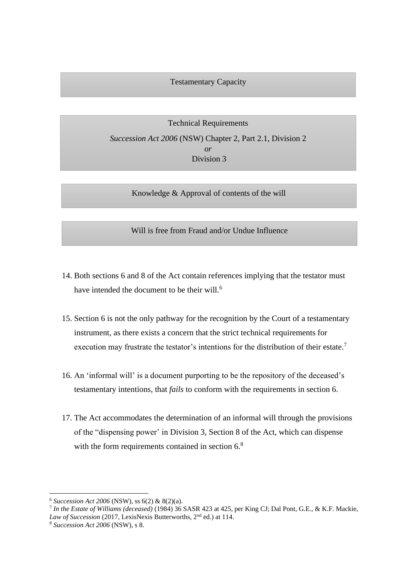#### Testamentary Capacity

Technical Requirements *Succession Act 2006* (NSW) Chapter 2, Part 2.1, Division 2 *or* Division 3

Knowledge & Approval of contents of the will

Will is free from Fraud and/or Undue Influence

- 14. Both sections 6 and 8 of the Act contain references implying that the testator must have intended the document to be their will.<sup>6</sup>
- 15. Section 6 is not the only pathway for the recognition by the Court of a testamentary instrument, as there exists a concern that the strict technical requirements for execution may frustrate the testator's intentions for the distribution of their estate.<sup>7</sup>
- 16. An 'informal will' is a document purporting to be the repository of the deceased's testamentary intentions, that *fails* to conform with the requirements in section 6.
- 17. The Act accommodates the determination of an informal will through the provisions of the "dispensing power' in Division 3, Section 8 of the Act, which can dispense with the form requirements contained in section 6.<sup>8</sup>

<sup>6</sup> *Succession Act 2006* (NSW), ss 6(2) & 8(2)(a).

<sup>7</sup> *In the Estate of Williams (deceased)* (1984) 36 SASR 423 at 425, per King CJ; Dal Pont, G.E., & K.F. Mackie, Law of Succession (2017, LexisNexis Butterworths, 2<sup>nd</sup> ed.) at 114.

<sup>8</sup> *Succession Act 2006* (NSW), s 8.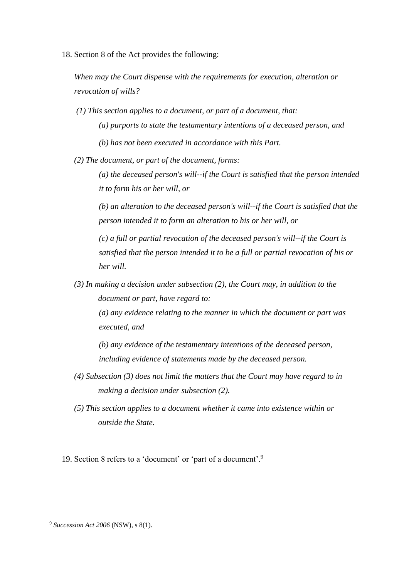18. Section 8 of the Act provides the following:

*When may the Court dispense with the requirements for execution, alteration or revocation of wills?* 

*(1) This section applies to a document, or part of a document, that: (a) purports to state the testamentary intentions of a deceased person, and (b) has not been executed in accordance with this Part.* 

*(2) The document, or part of the document, forms:* 

*(a) the deceased person's will--if the Court is satisfied that the person intended it to form his or her will, or* 

*(b) an alteration to the deceased person's will--if the Court is satisfied that the person intended it to form an alteration to his or her will, or* 

*(c) a full or partial revocation of the deceased person's will--if the Court is satisfied that the person intended it to be a full or partial revocation of his or her will.* 

*(3) In making a decision under subsection (2), the Court may, in addition to the document or part, have regard to:* 

*(a) any evidence relating to the manner in which the document or part was executed, and* 

*(b) any evidence of the testamentary intentions of the deceased person, including evidence of statements made by the deceased person.* 

- *(4) Subsection (3) does not limit the matters that the Court may have regard to in making a decision under subsection (2).*
- *(5) This section applies to a [document](http://classic.austlii.edu.au/au/legis/nsw/consol_act/sa2006138/s3.html#document) whether it came into existence within or outside the State.*

19. Section 8 refers to a 'document' or 'part of a document'.<sup>9</sup>

<sup>9</sup> *Succession Act 2006* (NSW), s 8(1).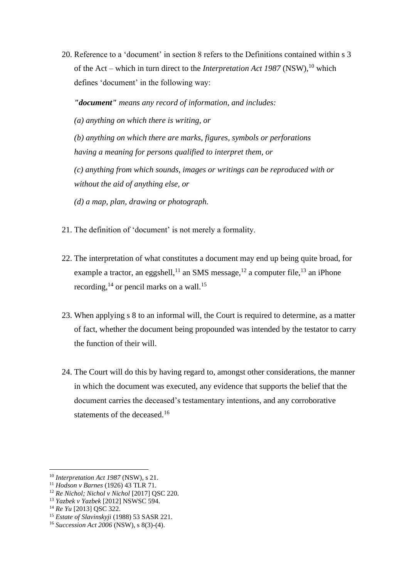20. Reference to a 'document' in section 8 refers to the Definitions contained within s 3 of the Act – which in turn direct to the *Interpretation Act 1987* (NSW),<sup>10</sup> which defines 'document' in the following way:

*"document" means any record of information, and includes:* 

*(a) anything on which there is writing, or* 

*(b) anything on which there are marks, figures, symbols or perforations having a meaning for persons qualified to interpret them, or* 

*(c) anything from which sounds, images or writings can be reproduced with or without the aid of anything else, or* 

*(d) a map, plan, drawing or photograph.* 

- 21. The definition of 'document' is not merely a formality.
- 22. The interpretation of what constitutes a document may end up being quite broad, for example a tractor, an eggshell,<sup>11</sup> an SMS message,<sup>12</sup> a computer file,<sup>13</sup> an iPhone recording,  $^{14}$  or pencil marks on a wall.<sup>15</sup>
- 23. When applying s 8 to an informal will, the Court is required to determine, as a matter of fact, whether the document being propounded was intended by the testator to carry the function of their will.
- 24. The Court will do this by having regard to, amongst other considerations, the manner in which the document was executed, any evidence that supports the belief that the document carries the deceased's testamentary intentions, and any corroborative statements of the deceased.<sup>16</sup>

<sup>10</sup> *Interpretation Act 1987* (NSW), s 21.

<sup>11</sup> *Hodson v Barnes* (1926) 43 TLR 71.

<sup>12</sup> *Re Nichol; Nichol v Nichol* [2017] QSC 220.

<sup>13</sup> *Yazbek v Yazbek* [2012] NSWSC 594.

<sup>14</sup> *Re Yu* [2013] QSC 322.

<sup>15</sup> *Estate of Slavinskyji* (1988) 53 SASR 221.

<sup>16</sup> *Succession Act 2006* (NSW), s 8(3)-(4).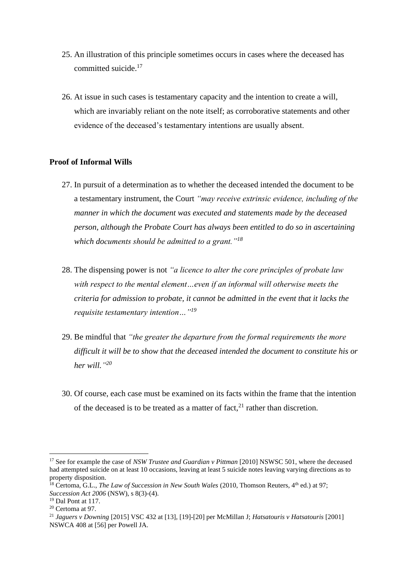- 25. An illustration of this principle sometimes occurs in cases where the deceased has committed suicide. 17
- 26. At issue in such cases is testamentary capacity and the intention to create a will, which are invariably reliant on the note itself; as corroborative statements and other evidence of the deceased's testamentary intentions are usually absent.

#### **Proof of Informal Wills**

- 27. In pursuit of a determination as to whether the deceased intended the document to be a testamentary instrument, the Court *"may receive extrinsic evidence, including of the manner in which the document was executed and statements made by the deceased person, although the Probate Court has always been entitled to do so in ascertaining which documents should be admitted to a grant."<sup>18</sup>*
- 28. The dispensing power is not *"a licence to alter the core principles of probate law with respect to the mental element…even if an informal will otherwise meets the criteria for admission to probate, it cannot be admitted in the event that it lacks the requisite testamentary intention…"<sup>19</sup>*
- 29. Be mindful that *"the greater the departure from the formal requirements the more difficult it will be to show that the deceased intended the document to constitute his or her will." 20*
- 30. Of course, each case must be examined on its facts within the frame that the intention of the deceased is to be treated as a matter of fact, $^{21}$  rather than discretion.

<sup>17</sup> See for example the case of *NSW Trustee and Guardian v Pittman* [2010] NSWSC 501, where the deceased had attempted suicide on at least 10 occasions, leaving at least 5 suicide notes leaving varying directions as to property disposition.

<sup>&</sup>lt;sup>18</sup> Certoma, G.L., *The Law of Succession in New South Wales* (2010, Thomson Reuters, 4<sup>th</sup> ed.) at 97; *Succession Act 2006* (NSW), s 8(3)-(4).

<sup>19</sup> Dal Pont at 117.

<sup>20</sup> Certoma at 97.

<sup>21</sup> *Jaguers v Downing* [2015] VSC 432 at [13], [19]-[20] per McMillan J; *Hatsatouris v Hatsatouris* [2001] NSWCA 408 at [56] per Powell JA.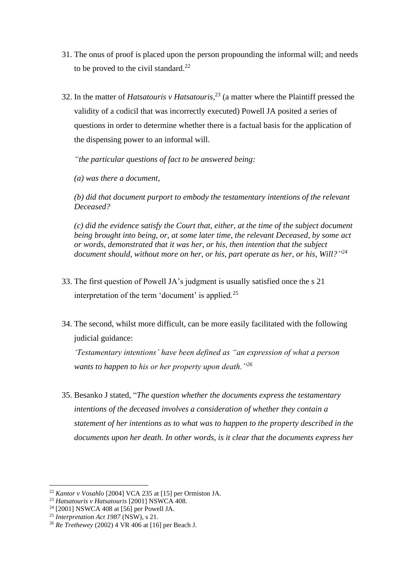- 31. The onus of proof is placed upon the person propounding the informal will; and needs to be proved to the civil standard. $^{22}$
- 32. In the matter of *Hatsatouris v Hatsatouris*, <sup>23</sup> (a matter where the Plaintiff pressed the validity of a codicil that was incorrectly executed) Powell JA posited a series of questions in order to determine whether there is a factual basis for the application of the dispensing power to an informal will.

*"the particular questions of fact to be answered being:*

*(a) was there a document,*

*(b) did that document purport to embody the testamentary intentions of the relevant Deceased?*

*(c) did the evidence satisfy the Court that, either, at the time of the subject document being brought into being, or, at some later time, the relevant Deceased, by some act or words, demonstrated that it was her, or his, then intention that the subject document should, without more on her, or his, part operate as her, or his, Will?" 24*

- 33. The first question of Powell JA's judgment is usually satisfied once the s 21 interpretation of the term 'document' is applied.<sup>25</sup>
- 34. The second, whilst more difficult, can be more easily facilitated with the following judicial guidance:

*'Testamentary intentions' have been defined as "an expression of what a person wants to happen to his or her property upon death."<sup>26</sup>*

35. Besanko J stated, "*The question whether the documents express the testamentary intentions of the deceased involves a consideration of whether they contain a statement of her intentions as to what was to happen to the property described in the documents upon her death. In other words, is it clear that the documents express her* 

<sup>22</sup> *Kantor v Vosahlo* [2004] VCA 235 at [15] per Ormiston JA.

<sup>23</sup> *Hatsatouris v Hatsatouris* [2001] NSWCA 408.

<sup>24</sup> [2001] NSWCA 408 at [56] per Powell JA.

<sup>25</sup> *Interpretation Act 1987* (NSW), s 21.

<sup>26</sup> *Re Trethewey* (2002) 4 VR 406 at [16] per Beach J.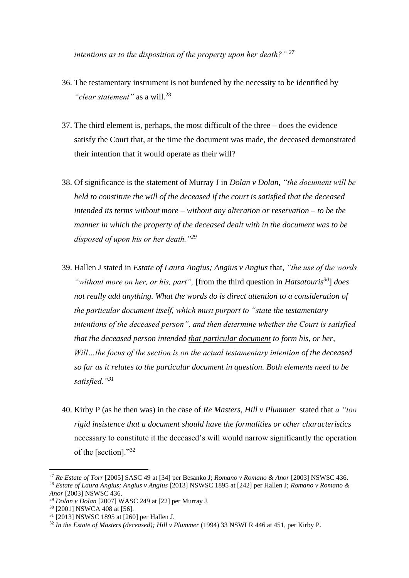*intentions as to the disposition of the property upon her death?" <sup>27</sup>*

- 36. The testamentary instrument is not burdened by the necessity to be identified by "*clear statement*" as a will.<sup>28</sup>
- 37. The third element is, perhaps, the most difficult of the three does the evidence satisfy the Court that, at the time the document was made, the deceased demonstrated their intention that it would operate as their will?
- 38. Of significance is the statement of Murray J in *Dolan v Dolan*, *"the document will be held to constitute the will of the deceased if the court is satisfied that the deceased intended its terms without more – without any alteration or reservation – to be the manner in which the property of the deceased dealt with in the document was to be disposed of upon his or her death."<sup>29</sup>*
- 39. Hallen J stated in *Estate of Laura Angius; Angius v Angius* that, *"the use of the words "without more on her, or his, part",* [from the third question in *Hatsatouris<sup>30</sup>*] *does not really add anything. What the words do is direct attention to a consideration of the particular document itself, which must purport to "state the testamentary intentions of the deceased person", and then determine whether the Court is satisfied that the deceased person intended that particular document to form his, or her, Will…the focus of the section is on the actual testamentary intention of the deceased so far as it relates to the particular document in question. Both elements need to be satisfied."<sup>31</sup>*
- 40. Kirby P (as he then was) in the case of *Re Masters, Hill v Plummer* stated that *a "too rigid insistence that a document should have the formalities or other characteristics* necessary to constitute it the deceased's will would narrow significantly the operation of the [section]."<sup>32</sup>

<sup>27</sup> *Re Estate of Torr* [2005] SASC 49 at [34] per Besanko J; *Romano v Romano & Anor* [2003] NSWSC 436. <sup>28</sup> *Estate of Laura Angius; Angius v Angius* [2013] NSWSC 1895 at [242] per Hallen J; *Romano v Romano & Anor* [2003] NSWSC 436.

<sup>29</sup> *Dolan v Dolan* [2007] WASC 249 at [22] per Murray J.

<sup>30</sup> [2001] NSWCA 408 at [56].

<sup>31</sup> [2013] NSWSC 1895 at [260] per Hallen J.

<sup>32</sup> *In the Estate of Masters (deceased); Hill v Plummer* (1994) 33 NSWLR 446 at 451, per Kirby P.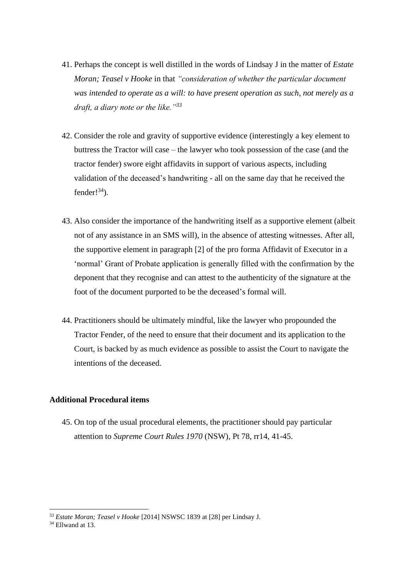- 41. Perhaps the concept is well distilled in the words of Lindsay J in the matter of *Estate Moran; Teasel v Hooke* in that *"consideration of whether the particular document was intended to operate as a will: to have present operation as such, not merely as a draft, a diary note or the like."<sup>33</sup>*
- 42. Consider the role and gravity of supportive evidence (interestingly a key element to buttress the Tractor will case – the lawyer who took possession of the case (and the tractor fender) swore eight affidavits in support of various aspects, including validation of the deceased's handwriting - all on the same day that he received the fender! $34$ ).
- 43. Also consider the importance of the handwriting itself as a supportive element (albeit not of any assistance in an SMS will), in the absence of attesting witnesses. After all, the supportive element in paragraph [2] of the pro forma Affidavit of Executor in a 'normal' Grant of Probate application is generally filled with the confirmation by the deponent that they recognise and can attest to the authenticity of the signature at the foot of the document purported to be the deceased's formal will.
- 44. Practitioners should be ultimately mindful, like the lawyer who propounded the Tractor Fender, of the need to ensure that their document and its application to the Court, is backed by as much evidence as possible to assist the Court to navigate the intentions of the deceased.

# **Additional Procedural items**

45. On top of the usual procedural elements, the practitioner should pay particular attention to *Supreme Court Rules 1970* (NSW), Pt 78, rr14, 41-45.

<sup>33</sup> *Estate Moran; Teasel v Hooke* [2014] NSWSC 1839 at [28] per Lindsay J.

 $34$  Ellwand at 13.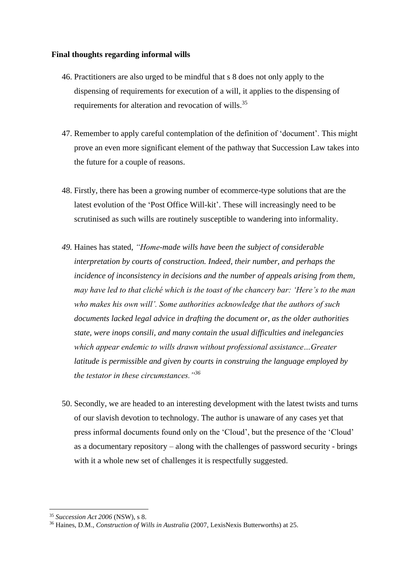#### **Final thoughts regarding informal wills**

- 46. Practitioners are also urged to be mindful that s 8 does not only apply to the dispensing of requirements for execution of a will, it applies to the dispensing of requirements for alteration and revocation of wills.<sup>35</sup>
- 47. Remember to apply careful contemplation of the definition of 'document'. This might prove an even more significant element of the pathway that Succession Law takes into the future for a couple of reasons.
- 48. Firstly, there has been a growing number of ecommerce-type solutions that are the latest evolution of the 'Post Office Will-kit'. These will increasingly need to be scrutinised as such wills are routinely susceptible to wandering into informality.
- *49.* Haines has stated, *"Home-made wills have been the subject of considerable interpretation by courts of construction. Indeed, their number, and perhaps the incidence of inconsistency in decisions and the number of appeals arising from them, may have led to that cliché which is the toast of the chancery bar: 'Here's to the man who makes his own will'. Some authorities acknowledge that the authors of such documents lacked legal advice in drafting the document or, as the older authorities state, were inops consili, and many contain the usual difficulties and inelegancies which appear endemic to wills drawn without professional assistance…Greater latitude is permissible and given by courts in construing the language employed by the testator in these circumstances."<sup>36</sup>*
- 50. Secondly, we are headed to an interesting development with the latest twists and turns of our slavish devotion to technology. The author is unaware of any cases yet that press informal documents found only on the 'Cloud', but the presence of the 'Cloud' as a documentary repository – along with the challenges of password security - brings with it a whole new set of challenges it is respectfully suggested.

<sup>35</sup> *Succession Act 2006* (NSW), s 8.

<sup>36</sup> Haines, D.M., *Construction of Wills in Australia* (2007, LexisNexis Butterworths) at 25.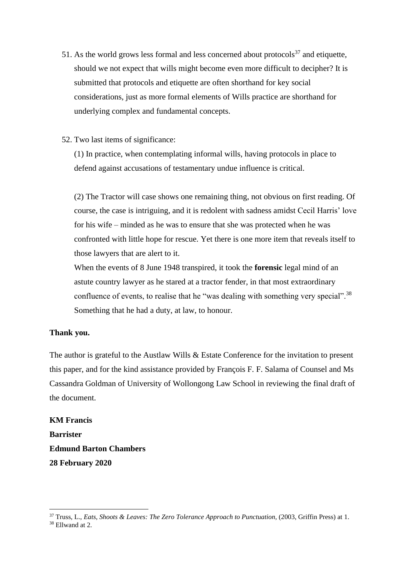- 51. As the world grows less formal and less concerned about protocols<sup>37</sup> and etiquette, should we not expect that wills might become even more difficult to decipher? It is submitted that protocols and etiquette are often shorthand for key social considerations, just as more formal elements of Wills practice are shorthand for underlying complex and fundamental concepts.
- 52. Two last items of significance:

(1) In practice, when contemplating informal wills, having protocols in place to defend against accusations of testamentary undue influence is critical.

(2) The Tractor will case shows one remaining thing, not obvious on first reading. Of course, the case is intriguing, and it is redolent with sadness amidst Cecil Harris' love for his wife – minded as he was to ensure that she was protected when he was confronted with little hope for rescue. Yet there is one more item that reveals itself to those lawyers that are alert to it.

When the events of 8 June 1948 transpired, it took the **forensic** legal mind of an astute country lawyer as he stared at a tractor fender, in that most extraordinary confluence of events, to realise that he "was dealing with something very special".<sup>38</sup> Something that he had a duty, at law, to honour.

# **Thank you.**

The author is grateful to the Austlaw Wills & Estate Conference for the invitation to present this paper, and for the kind assistance provided by François F. F. Salama of Counsel and Ms Cassandra Goldman of University of Wollongong Law School in reviewing the final draft of the document.

**KM Francis Barrister Edmund Barton Chambers 28 February 2020**

<sup>37</sup> Truss, L., *Eats, Shoots & Leaves: The Zero Tolerance Approach to Punctuation,* (2003, Griffin Press) at 1.

<sup>38</sup> Ellwand at 2.